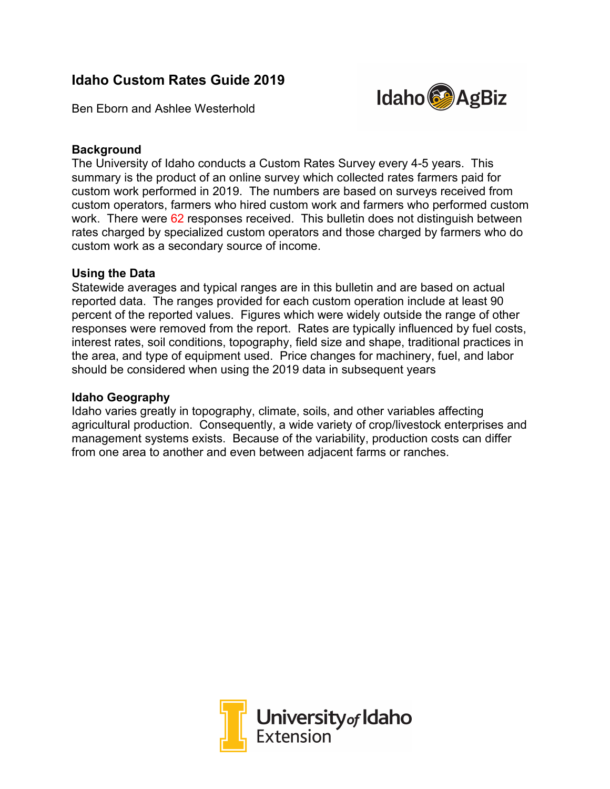# **Idaho Custom Rates Guide 2019**



Ben Eborn and Ashlee Westerhold

## **Background**

The University of Idaho conducts a Custom Rates Survey every 4-5 years. This summary is the product of an online survey which collected rates farmers paid for custom work performed in 2019. The numbers are based on surveys received from custom operators, farmers who hired custom work and farmers who performed custom work. There were 62 responses received. This bulletin does not distinguish between rates charged by specialized custom operators and those charged by farmers who do custom work as a secondary source of income.

### **Using the Data**

Statewide averages and typical ranges are in this bulletin and are based on actual reported data. The ranges provided for each custom operation include at least 90 percent of the reported values. Figures which were widely outside the range of other responses were removed from the report. Rates are typically influenced by fuel costs, interest rates, soil conditions, topography, field size and shape, traditional practices in the area, and type of equipment used. Price changes for machinery, fuel, and labor should be considered when using the 2019 data in subsequent years

#### **Idaho Geography**

Idaho varies greatly in topography, climate, soils, and other variables affecting agricultural production. Consequently, a wide variety of crop/livestock enterprises and management systems exists. Because of the variability, production costs can differ from one area to another and even between adjacent farms or ranches.

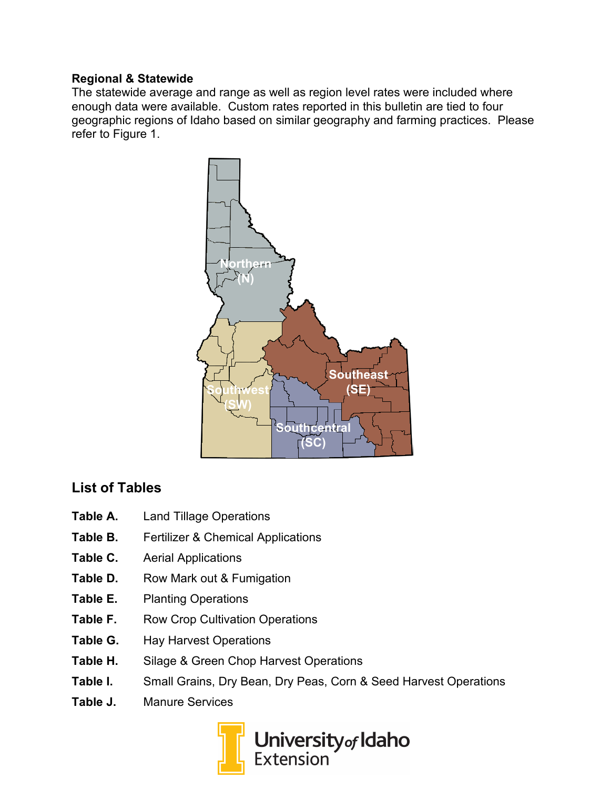## **Regional & Statewide**

The statewide average and range as well as region level rates were included where enough data were available. Custom rates reported in this bulletin are tied to four geographic regions of Idaho based on similar geography and farming practices. Please refer to Figure 1.



# **List of Tables**

- **Table A.** Land Tillage Operations
- **Table B.** Fertilizer & Chemical Applications
- **Table C.** Aerial Applications
- Table D. Row Mark out & Fumigation
- **Table E.** Planting Operations
- Table F. Row Crop Cultivation Operations
- **Table G.** Hay Harvest Operations
- **Table H.** Silage & Green Chop Harvest Operations
- **Table I.** Small Grains, Dry Bean, Dry Peas, Corn & Seed Harvest Operations
- **Table J.** Manure Services

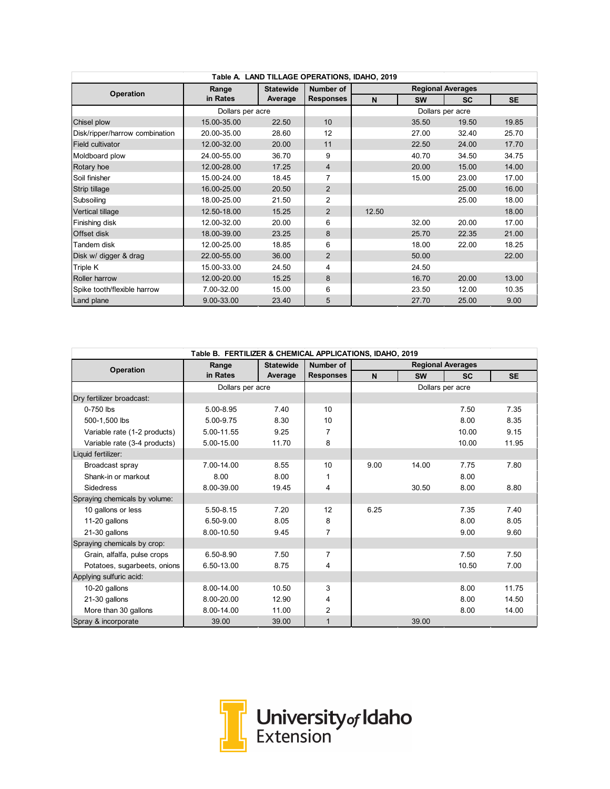| Table A. LAND TILLAGE OPERATIONS, IDAHO, 2019 |                  |                  |                  |                          |                  |           |           |  |  |
|-----------------------------------------------|------------------|------------------|------------------|--------------------------|------------------|-----------|-----------|--|--|
| <b>Operation</b>                              | Range            | <b>Statewide</b> | Number of        | <b>Regional Averages</b> |                  |           |           |  |  |
|                                               | in Rates         | Average          | <b>Responses</b> | N                        | <b>SW</b>        | <b>SC</b> | <b>SE</b> |  |  |
|                                               | Dollars per acre |                  |                  |                          | Dollars per acre |           |           |  |  |
| Chisel plow                                   | 15.00-35.00      | 22.50            | 10               |                          | 35.50            | 19.50     | 19.85     |  |  |
| Disk/ripper/harrow combination                | 20.00-35.00      | 28.60            | 12               |                          | 27.00            | 32.40     | 25.70     |  |  |
| Field cultivator                              | 12.00-32.00      | 20.00            | 11               |                          | 22.50            | 24.00     | 17.70     |  |  |
| Moldboard plow                                | 24.00-55.00      | 36.70            | 9                |                          | 40.70            | 34.50     | 34.75     |  |  |
| Rotary hoe                                    | 12.00-28.00      | 17.25            | $\overline{4}$   |                          | 20.00            | 15.00     | 14.00     |  |  |
| Soil finisher                                 | 15.00-24.00      | 18.45            | 7                |                          | 15.00            | 23.00     | 17.00     |  |  |
| Strip tillage                                 | 16.00-25.00      | 20.50            | $\overline{2}$   |                          |                  | 25.00     | 16.00     |  |  |
| Subsoiling                                    | 18.00-25.00      | 21.50            | $\overline{2}$   |                          |                  | 25.00     | 18.00     |  |  |
| Vertical tillage                              | 12.50-18.00      | 15.25            | $\overline{2}$   | 12.50                    |                  |           | 18.00     |  |  |
| Finishing disk                                | 12.00-32.00      | 20.00            | 6                |                          | 32.00            | 20.00     | 17.00     |  |  |
| <b>Offset disk</b>                            | 18.00-39.00      | 23.25            | 8                |                          | 25.70            | 22.35     | 21.00     |  |  |
| Tandem disk                                   | 12.00-25.00      | 18.85            | 6                |                          | 18.00            | 22.00     | 18.25     |  |  |
| Disk w/ digger & drag                         | 22.00-55.00      | 36.00            | $\overline{2}$   |                          | 50.00            |           | 22.00     |  |  |
| Triple K                                      | 15.00-33.00      | 24.50            | 4                |                          | 24.50            |           |           |  |  |
| Roller harrow                                 | 12.00-20.00      | 15.25            | 8                |                          | 16.70            | 20.00     | 13.00     |  |  |
| Spike tooth/flexible harrow                   | 7.00-32.00       | 15.00            | 6                |                          | 23.50            | 12.00     | 10.35     |  |  |
| Land plane                                    | 9.00-33.00       | 23.40            | 5                |                          | 27.70            | 25.00     | 9.00      |  |  |

| Table B. FERTILIZER & CHEMICAL APPLICATIONS, IDAHO, 2019 |                  |                  |                         |                          |           |                  |           |  |  |  |
|----------------------------------------------------------|------------------|------------------|-------------------------|--------------------------|-----------|------------------|-----------|--|--|--|
| Operation                                                | Range            | <b>Statewide</b> | Number of               | <b>Regional Averages</b> |           |                  |           |  |  |  |
|                                                          | in Rates         | Average          | <b>Responses</b>        | $\mathbf N$              | <b>SW</b> | <b>SC</b>        | <b>SE</b> |  |  |  |
|                                                          | Dollars per acre |                  |                         |                          |           | Dollars per acre |           |  |  |  |
| Dry fertilizer broadcast:                                |                  |                  |                         |                          |           |                  |           |  |  |  |
| $0-750$ lbs                                              | 5.00-8.95        | 7.40             | 10                      |                          |           | 7.50             | 7.35      |  |  |  |
| 500-1,500 lbs                                            | 5.00-9.75        | 8.30             | 10                      |                          |           | 8.00             | 8.35      |  |  |  |
| Variable rate (1-2 products)                             | 5.00-11.55       | 9.25             | 7                       |                          |           | 10.00            | 9.15      |  |  |  |
| Variable rate (3-4 products)                             | 5.00-15.00       | 11.70            | 8                       |                          |           | 10.00            | 11.95     |  |  |  |
| Liquid fertilizer:                                       |                  |                  |                         |                          |           |                  |           |  |  |  |
| Broadcast spray                                          | 7.00-14.00       | 8.55             | 10                      | 9.00                     | 14.00     | 7.75             | 7.80      |  |  |  |
| Shank-in or markout                                      | 8.00             | 8.00             | 1                       |                          |           | 8.00             |           |  |  |  |
| Sidedress                                                | 8.00-39.00       | 19.45            | 4                       |                          | 30.50     | 8.00             | 8.80      |  |  |  |
| Spraying chemicals by volume:                            |                  |                  |                         |                          |           |                  |           |  |  |  |
| 10 gallons or less                                       | 5.50-8.15        | 7.20             | 12                      | 6.25                     |           | 7.35             | 7.40      |  |  |  |
| 11-20 gallons                                            | 6.50-9.00        | 8.05             | 8                       |                          |           | 8.00             | 8.05      |  |  |  |
| 21-30 gallons                                            | 8.00-10.50       | 9.45             | 7                       |                          |           | 9.00             | 9.60      |  |  |  |
| Spraying chemicals by crop:                              |                  |                  |                         |                          |           |                  |           |  |  |  |
| Grain, alfalfa, pulse crops                              | 6.50-8.90        | 7.50             | 7                       |                          |           | 7.50             | 7.50      |  |  |  |
| Potatoes, sugarbeets, onions                             | 6.50-13.00       | 8.75             | $\overline{\mathbf{4}}$ |                          |           | 10.50            | 7.00      |  |  |  |
| Applying sulfuric acid:                                  |                  |                  |                         |                          |           |                  |           |  |  |  |
| 10-20 gallons                                            | 8.00-14.00       | 10.50            | 3                       |                          |           | 8.00             | 11.75     |  |  |  |
| 21-30 gallons                                            | 8.00-20.00       | 12.90            | 4                       |                          |           | 8.00             | 14.50     |  |  |  |
| More than 30 gallons                                     | 8.00-14.00       | 11.00            | $\overline{2}$          |                          |           | 8.00             | 14.00     |  |  |  |
| Spray & incorporate                                      | 39.00            | 39.00            | $\mathbf{1}$            |                          | 39.00     |                  |           |  |  |  |

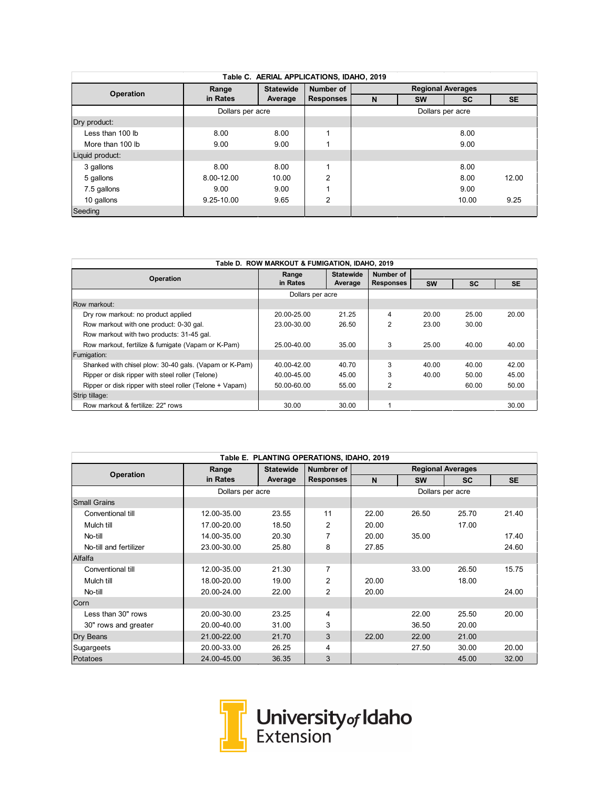| Table C. AERIAL APPLICATIONS, IDAHO, 2019 |                  |                  |                  |                          |           |           |           |  |  |  |
|-------------------------------------------|------------------|------------------|------------------|--------------------------|-----------|-----------|-----------|--|--|--|
| <b>Operation</b>                          | Range            | <b>Statewide</b> | Number of        | <b>Regional Averages</b> |           |           |           |  |  |  |
|                                           | in Rates         | Average          | <b>Responses</b> | N                        | <b>SW</b> | <b>SC</b> | <b>SE</b> |  |  |  |
|                                           | Dollars per acre |                  |                  | Dollars per acre         |           |           |           |  |  |  |
| Dry product:                              |                  |                  |                  |                          |           |           |           |  |  |  |
| Less than 100 lb                          | 8.00             | 8.00             |                  |                          |           | 8.00      |           |  |  |  |
| More than 100 lb                          | 9.00             | 9.00             |                  |                          |           | 9.00      |           |  |  |  |
| Liquid product:                           |                  |                  |                  |                          |           |           |           |  |  |  |
| 3 gallons                                 | 8.00             | 8.00             |                  |                          |           | 8.00      |           |  |  |  |
| 5 gallons                                 | 8.00-12.00       | 10.00            | $\overline{2}$   |                          |           | 8.00      | 12.00     |  |  |  |
| 7.5 gallons                               | 9.00             | 9.00             |                  |                          |           | 9.00      |           |  |  |  |
| 10 gallons                                | 9.25-10.00       | 9.65             | $\overline{2}$   |                          |           | 10.00     | 9.25      |  |  |  |
| Seeding                                   |                  |                  |                  |                          |           |           |           |  |  |  |

| Table D. ROW MARKOUT & FUMIGATION, IDAHO, 2019           |                  |                  |                  |           |           |           |  |  |  |
|----------------------------------------------------------|------------------|------------------|------------------|-----------|-----------|-----------|--|--|--|
| <b>Operation</b>                                         | Range            | <b>Statewide</b> | Number of        |           |           |           |  |  |  |
|                                                          | in Rates         | Average          | <b>Responses</b> | <b>SW</b> | <b>SC</b> | <b>SE</b> |  |  |  |
|                                                          | Dollars per acre |                  |                  |           |           |           |  |  |  |
| Row markout:                                             |                  |                  |                  |           |           |           |  |  |  |
| Dry row markout: no product applied                      | 20.00-25.00      | 21.25            | 4                | 20.00     | 25.00     | 20.00     |  |  |  |
| Row markout with one product: 0-30 gal.                  | 23.00-30.00      | 26.50            | $\overline{2}$   | 23.00     | 30.00     |           |  |  |  |
| Row markout with two products: 31-45 gal.                |                  |                  |                  |           |           |           |  |  |  |
| Row markout, fertilize & fumigate (Vapam or K-Pam)       | 25.00-40.00      | 35.00            | 3                | 25.00     | 40.00     | 40.00     |  |  |  |
| Fumigation:                                              |                  |                  |                  |           |           |           |  |  |  |
| Shanked with chisel plow: 30-40 gals. (Vapam or K-Pam)   | 40.00-42.00      | 40.70            | 3                | 40.00     | 40.00     | 42.00     |  |  |  |
| Ripper or disk ripper with steel roller (Telone)         | 40.00-45.00      | 45.00            | 3                | 40.00     | 50.00     | 45.00     |  |  |  |
| Ripper or disk ripper with steel roller (Telone + Vapam) | 50.00-60.00      | 55.00            | $\overline{2}$   |           | 60.00     | 50.00     |  |  |  |
| Strip tillage:                                           |                  |                  |                  |           |           |           |  |  |  |
| Row markout & fertilize: 22" rows                        | 30.00            | 30.00            |                  |           |           | 30.00     |  |  |  |

|                        | Range            | <b>Statewide</b> | Numbrer of       | <b>Regional Averages</b> |           |                  |           |
|------------------------|------------------|------------------|------------------|--------------------------|-----------|------------------|-----------|
| <b>Operation</b>       | in Rates         | Average          | <b>Responses</b> | $\mathbf N$              | <b>SW</b> | <b>SC</b>        | <b>SE</b> |
|                        | Dollars per acre |                  |                  |                          |           | Dollars per acre |           |
| <b>Small Grains</b>    |                  |                  |                  |                          |           |                  |           |
| Conventional till      | 12.00-35.00      | 23.55            | 11               | 22.00                    | 26.50     | 25.70            | 21.40     |
| Mulch till             | 17.00-20.00      | 18.50            | $\overline{2}$   | 20.00                    |           | 17.00            |           |
| No-till                | 14.00-35.00      | 20.30            | 7                | 20.00                    | 35.00     |                  | 17.40     |
| No-till and fertilizer | 23.00-30.00      | 25.80            | 8                | 27.85                    |           |                  | 24.60     |
| Alfalfa                |                  |                  |                  |                          |           |                  |           |
| Conventional till      | 12.00-35.00      | 21.30            | 7                |                          | 33.00     | 26.50            | 15.75     |
| Mulch till             | 18.00-20.00      | 19.00            | $\overline{2}$   | 20.00                    |           | 18.00            |           |
| No-till                | 20.00-24.00      | 22.00            | $\overline{2}$   | 20.00                    |           |                  | 24.00     |
| Corn                   |                  |                  |                  |                          |           |                  |           |
| Less than 30" rows     | 20.00-30.00      | 23.25            | 4                |                          | 22.00     | 25.50            | 20.00     |
| 30" rows and greater   | 20.00-40.00      | 31.00            | 3                |                          | 36.50     | 20.00            |           |
| Dry Beans              | 21.00-22.00      | 21.70            | 3                | 22.00                    | 22.00     | 21.00            |           |
| Sugargeets             | 20.00-33.00      | 26.25            | 4                |                          | 27.50     | 30.00            | 20.00     |
| Potatoes               | 24.00-45.00      | 36.35            | 3                |                          |           | 45.00            | 32.00     |

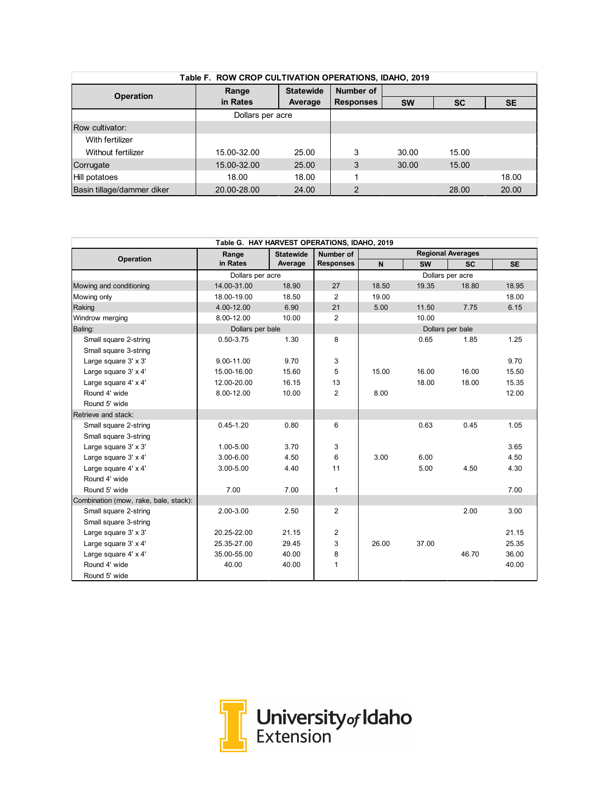| Table F. ROW CROP CULTIVATION OPERATIONS, IDAHO, 2019                |                  |           |                  |           |       |       |  |  |  |  |
|----------------------------------------------------------------------|------------------|-----------|------------------|-----------|-------|-------|--|--|--|--|
| <b>Statewide</b><br>Range<br><b>Operation</b><br>in Rates<br>Average |                  |           | <b>Number of</b> |           |       |       |  |  |  |  |
|                                                                      | <b>Responses</b> | <b>SW</b> | <b>SC</b>        | <b>SE</b> |       |       |  |  |  |  |
|                                                                      | Dollars per acre |           |                  |           |       |       |  |  |  |  |
| Row cultivator:                                                      |                  |           |                  |           |       |       |  |  |  |  |
| With fertilizer                                                      |                  |           |                  |           |       |       |  |  |  |  |
| Without fertilizer                                                   | 15.00-32.00      | 25.00     | 3                | 30.00     | 15.00 |       |  |  |  |  |
| Corrugate                                                            | 15.00-32.00      | 25.00     | 3                | 30.00     | 15.00 |       |  |  |  |  |
| Hill potatoes                                                        | 18.00            | 18.00     |                  |           |       | 18.00 |  |  |  |  |
| Basin tillage/dammer diker                                           | 20.00-28.00      | 24.00     | 2                |           | 28.00 | 20.00 |  |  |  |  |

| Table G. HAY HARVEST OPERATIONS, IDAHO, 2019 |                  |                  |                  |                          |           |                  |           |  |
|----------------------------------------------|------------------|------------------|------------------|--------------------------|-----------|------------------|-----------|--|
| Operation                                    | Range            | <b>Statewide</b> | Number of        | <b>Regional Averages</b> |           |                  |           |  |
|                                              | in Rates         | Average          | <b>Responses</b> | N                        | <b>SW</b> | <b>SC</b>        | <b>SE</b> |  |
|                                              | Dollars per acre |                  |                  |                          |           | Dollars per acre |           |  |
| Mowing and conditioning                      | 14.00-31.00      | 18.90            | 27               | 18.50                    | 19.35     | 18.80            | 18.95     |  |
| Mowing only                                  | 18.00-19.00      | 18.50            | 2                | 19.00                    |           |                  | 18.00     |  |
| Raking                                       | 4.00-12.00       | 6.90             | 21               | 5.00                     | 11.50     | 7.75             | 6.15      |  |
| Windrow merging                              | 8.00-12.00       | 10.00            | $\overline{2}$   |                          | 10.00     |                  |           |  |
| Baling:                                      | Dollars per bale |                  |                  |                          |           | Dollars per bale |           |  |
| Small square 2-string                        | $0.50 - 3.75$    | 1.30             | 8                |                          | 0.65      | 1.85             | 1.25      |  |
| Small square 3-string                        |                  |                  |                  |                          |           |                  |           |  |
| Large square 3' x 3'                         | 9.00-11.00       | 9.70             | 3                |                          |           |                  | 9.70      |  |
| Large square 3' x 4'                         | 15.00-16.00      | 15.60            | 5                | 15.00                    | 16.00     | 16.00            | 15.50     |  |
| Large square 4' x 4'                         | 12.00-20.00      | 16.15            | 13               |                          | 18.00     | 18.00            | 15.35     |  |
| Round 4' wide                                | 8.00-12.00       | 10.00            | 2                | 8.00                     |           |                  | 12.00     |  |
| Round 5' wide                                |                  |                  |                  |                          |           |                  |           |  |
| Retrieve and stack:                          |                  |                  |                  |                          |           |                  |           |  |
| Small square 2-string                        | $0.45 - 1.20$    | 0.80             | 6                |                          | 0.63      | 0.45             | 1.05      |  |
| Small square 3-string                        |                  |                  |                  |                          |           |                  |           |  |
| Large square 3' x 3'                         | 1.00-5.00        | 3.70             | 3                |                          |           |                  | 3.65      |  |
| Large square 3' x 4'                         | 3.00-6.00        | 4.50             | 6                | 3.00                     | 6.00      |                  | 4.50      |  |
| Large square 4' x 4'                         | 3.00-5.00        | 4.40             | 11               |                          | 5.00      | 4.50             | 4.30      |  |
| Round 4' wide                                |                  |                  |                  |                          |           |                  |           |  |
| Round 5' wide                                | 7.00             | 7.00             | $\mathbf{1}$     |                          |           |                  | 7.00      |  |
| Combination (mow, rake, bale, stack):        |                  |                  |                  |                          |           |                  |           |  |
| Small square 2-string                        | 2.00-3.00        | 2.50             | 2                |                          |           | 2.00             | 3.00      |  |
| Small square 3-string                        |                  |                  |                  |                          |           |                  |           |  |
| Large square 3' x 3'                         | 20.25-22.00      | 21.15            | $\overline{2}$   |                          |           |                  | 21.15     |  |
| Large square 3' x 4'                         | 25.35-27.00      | 29.45            | 3                | 26.00                    | 37.00     |                  | 25.35     |  |
| Large square 4' x 4'                         | 35.00-55.00      | 40.00            | 8                |                          |           | 46.70            | 36.00     |  |
| Round 4' wide                                | 40.00            | 40.00            | 1                |                          |           |                  | 40.00     |  |
| Round 5' wide                                |                  |                  |                  |                          |           |                  |           |  |

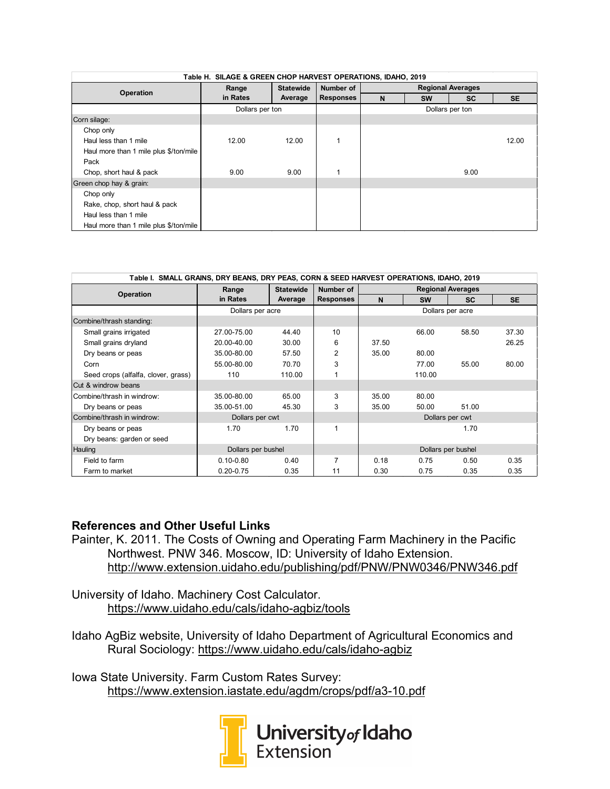| Table H. SILAGE & GREEN CHOP HARVEST OPERATIONS, IDAHO, 2019 |                 |                  |                  |                          |           |           |           |  |
|--------------------------------------------------------------|-----------------|------------------|------------------|--------------------------|-----------|-----------|-----------|--|
| Operation                                                    | Range           | <b>Statewide</b> | Number of        | <b>Regional Averages</b> |           |           |           |  |
|                                                              | in Rates        | Average          | <b>Responses</b> | N                        | <b>SW</b> | <b>SC</b> | <b>SE</b> |  |
|                                                              | Dollars per ton |                  |                  | Dollars per ton          |           |           |           |  |
| Corn silage:                                                 |                 |                  |                  |                          |           |           |           |  |
| Chop only                                                    |                 |                  |                  |                          |           |           |           |  |
| Haul less than 1 mile                                        | 12.00           | 12.00            |                  |                          |           |           | 12.00     |  |
| Haul more than 1 mile plus \$/ton/mile                       |                 |                  |                  |                          |           |           |           |  |
| Pack                                                         |                 |                  |                  |                          |           |           |           |  |
| Chop, short haul & pack                                      | 9.00            | 9.00             |                  |                          |           | 9.00      |           |  |
| Green chop hay & grain:                                      |                 |                  |                  |                          |           |           |           |  |
| Chop only                                                    |                 |                  |                  |                          |           |           |           |  |
| Rake, chop, short haul & pack                                |                 |                  |                  |                          |           |           |           |  |
| Haul less than 1 mile                                        |                 |                  |                  |                          |           |           |           |  |
| Haul more than 1 mile plus \$/ton/mile                       |                 |                  |                  |                          |           |           |           |  |

| Table I. SMALL GRAINS, DRY BEANS, DRY PEAS, CORN & SEED HARVEST OPERATIONS, IDAHO, 2019 |                    |                  |                  |                  |           |                          |           |  |
|-----------------------------------------------------------------------------------------|--------------------|------------------|------------------|------------------|-----------|--------------------------|-----------|--|
| <b>Operation</b>                                                                        | Range              | <b>Statewide</b> | Number of        |                  |           | <b>Regional Averages</b> |           |  |
|                                                                                         | in Rates           | Average          | <b>Responses</b> | N                | <b>SW</b> | <b>SC</b>                | <b>SE</b> |  |
|                                                                                         | Dollars per acre   |                  |                  | Dollars per acre |           |                          |           |  |
| Combine/thrash standing:                                                                |                    |                  |                  |                  |           |                          |           |  |
| Small grains irrigated                                                                  | 27.00-75.00        | 44.40            | 10               |                  | 66.00     | 58.50                    | 37.30     |  |
| Small grains dryland                                                                    | 20.00-40.00        | 30.00            | 6                | 37.50            |           |                          | 26.25     |  |
| Dry beans or peas                                                                       | 35.00-80.00        | 57.50            | 2                | 35.00            | 80.00     |                          |           |  |
| Corn                                                                                    | 55.00-80.00        | 70.70            | 3                |                  | 77.00     | 55.00                    | 80.00     |  |
| Seed crops (alfalfa, clover, grass)                                                     | 110                | 110.00           |                  |                  | 110.00    |                          |           |  |
| <b>Cut &amp; windrow beans</b>                                                          |                    |                  |                  |                  |           |                          |           |  |
| Combine/thrash in windrow:                                                              | 35.00-80.00        | 65.00            | 3                | 35.00            | 80.00     |                          |           |  |
| Dry beans or peas                                                                       | 35.00-51.00        | 45.30            | 3                | 35.00            | 50.00     | 51.00                    |           |  |
| Combine/thrash in windrow:                                                              | Dollars per cwt    |                  |                  | Dollars per cwt  |           |                          |           |  |
| Dry beans or peas                                                                       | 1.70               | 1.70             | 1                |                  |           | 1.70                     |           |  |
| Dry beans: garden or seed                                                               |                    |                  |                  |                  |           |                          |           |  |
| Hauling                                                                                 | Dollars per bushel |                  |                  |                  |           | Dollars per bushel       |           |  |
| Field to farm                                                                           | $0.10 - 0.80$      | 0.40             | $\overline{7}$   | 0.18             | 0.75      | 0.50                     | 0.35      |  |
| Farm to market                                                                          | $0.20 - 0.75$      | 0.35             | 11               | 0.30             | 0.75      | 0.35                     | 0.35      |  |

#### **References and Other Useful Links**

Painter, K. 2011. The Costs of Owning and Operating Farm Machinery in the Pacific Northwest. PNW 346. Moscow, ID: University of Idaho Extension. <http://www.extension.uidaho.edu/publishing/pdf/PNW/PNW0346/PNW346.pdf>

University of Idaho. Machinery Cost Calculator. <https://www.uidaho.edu/cals/idaho-agbiz/tools>

Idaho AgBiz website, University of Idaho Department of Agricultural Economics and Rural Sociology: <https://www.uidaho.edu/cals/idaho-agbiz>

Iowa State University. Farm Custom Rates Survey: <https://www.extension.iastate.edu/agdm/crops/pdf/a3-10.pdf>